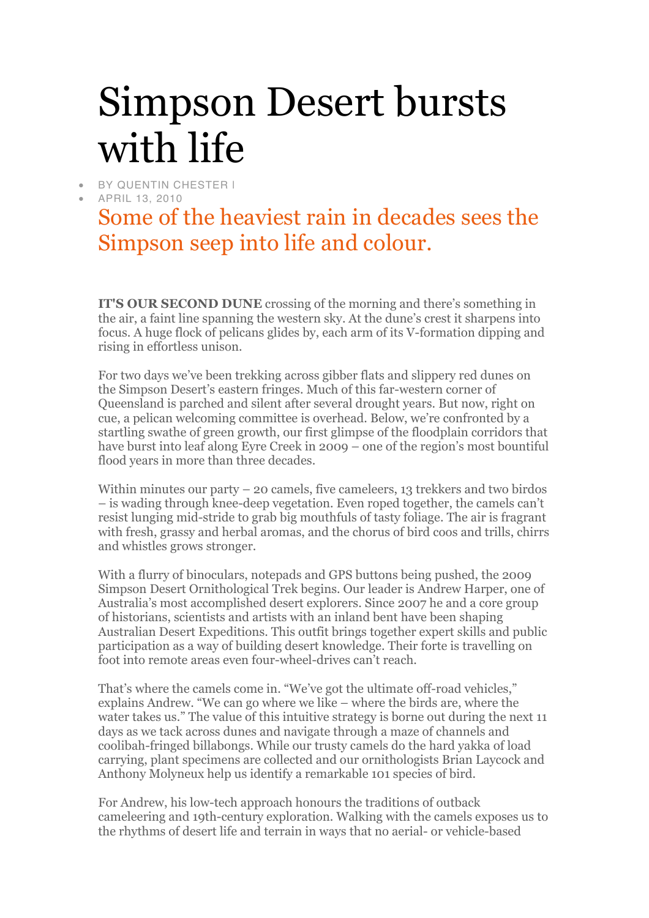## Simpson Desert bursts with life

- BY QUENTIN CHESTER I
- APRIL 13, 2010

## Some of the heaviest rain in decades sees the Simpson seep into life and colour.

**IT'S OUR SECOND DUNE** crossing of the morning and there's something in the air, a faint line spanning the western sky. At the dune's crest it sharpens into focus. A huge flock of pelicans glides by, each arm of its V-formation dipping and rising in effortless unison.

For two days we've been trekking across gibber flats and slippery red dunes on the Simpson Desert's eastern fringes. Much of this far-western corner of Queensland is parched and silent after several drought years. But now, right on cue, a pelican welcoming committee is overhead. Below, we're confronted by a startling swathe of green growth, our first glimpse of the floodplain corridors that have burst into leaf along Eyre Creek in 2009 – one of the region's most bountiful flood years in more than three decades.

Within minutes our party – 20 camels, five cameleers, 13 trekkers and two birdos – is wading through knee-deep vegetation. Even roped together, the camels can't resist lunging mid-stride to grab big mouthfuls of tasty foliage. The air is fragrant with fresh, grassy and herbal aromas, and the chorus of bird coos and trills, chirrs and whistles grows stronger.

With a flurry of binoculars, notepads and GPS buttons being pushed, the 2009 Simpson Desert Ornithological Trek begins. Our leader is Andrew Harper, one of Australia's most accomplished desert explorers. Since 2007 he and a core group of historians, scientists and artists with an inland bent have been shaping Australian Desert Expeditions. This outfit brings together expert skills and public participation as a way of building desert knowledge. Their forte is travelling on foot into remote areas even four-wheel-drives can't reach.

That's where the camels come in. "We've got the ultimate off-road vehicles," explains Andrew. "We can go where we like – where the birds are, where the water takes us." The value of this intuitive strategy is borne out during the next 11 days as we tack across dunes and navigate through a maze of channels and coolibah-fringed billabongs. While our trusty camels do the hard yakka of load carrying, plant specimens are collected and our ornithologists Brian Laycock and Anthony Molyneux help us identify a remarkable 101 species of bird.

For Andrew, his low-tech approach honours the traditions of outback cameleering and 19th-century exploration. Walking with the camels exposes us to the rhythms of desert life and terrain in ways that no aerial- or vehicle-based